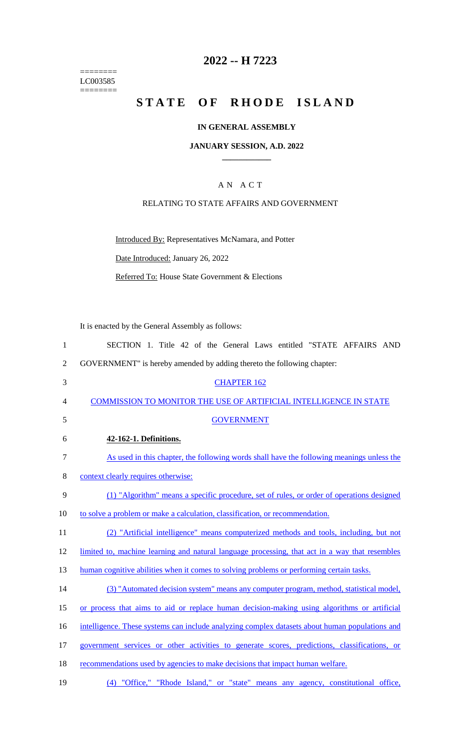======== LC003585  $=$ 

### **2022 -- H 7223**

# **STATE OF RHODE ISLAND**

### **IN GENERAL ASSEMBLY**

### **JANUARY SESSION, A.D. 2022 \_\_\_\_\_\_\_\_\_\_\_\_**

### A N A C T

### RELATING TO STATE AFFAIRS AND GOVERNMENT

Introduced By: Representatives McNamara, and Potter Date Introduced: January 26, 2022

Referred To: House State Government & Elections

It is enacted by the General Assembly as follows:

| $\mathbf{1}$   | SECTION 1. Title 42 of the General Laws entitled "STATE AFFAIRS AND                            |
|----------------|------------------------------------------------------------------------------------------------|
| $\overline{2}$ | GOVERNMENT" is hereby amended by adding thereto the following chapter:                         |
| 3              | <b>CHAPTER 162</b>                                                                             |
| $\overline{4}$ | COMMISSION TO MONITOR THE USE OF ARTIFICIAL INTELLIGENCE IN STATE                              |
| 5              | <b>GOVERNMENT</b>                                                                              |
| 6              | 42-162-1. Definitions.                                                                         |
| $\tau$         | As used in this chapter, the following words shall have the following meanings unless the      |
| 8              | context clearly requires otherwise:                                                            |
| 9              | (1) "Algorithm" means a specific procedure, set of rules, or order of operations designed      |
| 10             | to solve a problem or make a calculation, classification, or recommendation.                   |
| 11             | (2) "Artificial intelligence" means computerized methods and tools, including, but not         |
| 12             | limited to, machine learning and natural language processing, that act in a way that resembles |
| 13             | human cognitive abilities when it comes to solving problems or performing certain tasks.       |
| 14             | (3) "Automated decision system" means any computer program, method, statistical model,         |
| 15             | or process that aims to aid or replace human decision-making using algorithms or artificial    |
| 16             | intelligence. These systems can include analyzing complex datasets about human populations and |
| 17             | government services or other activities to generate scores, predictions, classifications, or   |
| 18             | recommendations used by agencies to make decisions that impact human welfare.                  |
| 19             | (4) "Office," "Rhode Island," or "state" means any agency, constitutional office,              |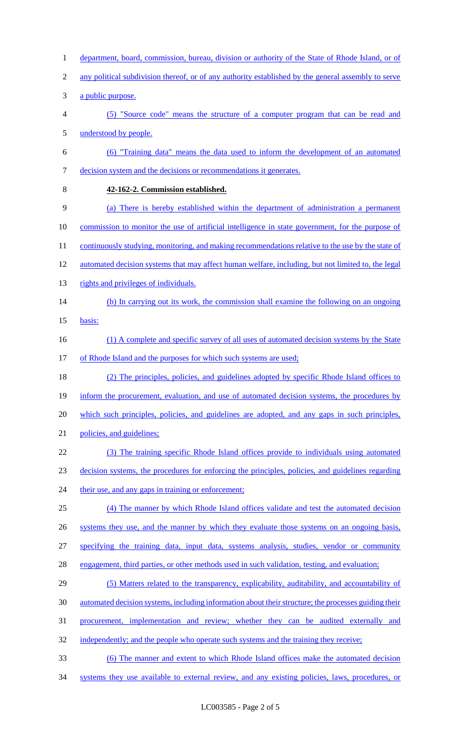- 1 department, board, commission, bureau, division or authority of the State of Rhode Island, or of
- 2 any political subdivision thereof, or of any authority established by the general assembly to serve
- a public purpose.
- (5) "Source code" means the structure of a computer program that can be read and understood by people.
- (6) "Training data" means the data used to inform the development of an automated decision system and the decisions or recommendations it generates.
- 

### **42-162-2. Commission established.**

- (a) There is hereby established within the department of administration a permanent commission to monitor the use of artificial intelligence in state government, for the purpose of
- 11 continuously studying, monitoring, and making recommendations relative to the use by the state of
- 12 automated decision systems that may affect human welfare, including, but not limited to, the legal
- 13 rights and privileges of individuals.
- (b) In carrying out its work, the commission shall examine the following on an ongoing
- basis:
- 16 (1) A complete and specific survey of all uses of automated decision systems by the State
- 17 of Rhode Island and the purposes for which such systems are used;
- (2) The principles, policies, and guidelines adopted by specific Rhode Island offices to 19 inform the procurement, evaluation, and use of automated decision systems, the procedures by which such principles, policies, and guidelines are adopted, and any gaps in such principles, 21 policies, and guidelines;
- (3) The training specific Rhode Island offices provide to individuals using automated decision systems, the procedures for enforcing the principles, policies, and guidelines regarding 24 their use, and any gaps in training or enforcement;
- (4) The manner by which Rhode Island offices validate and test the automated decision 26 systems they use, and the manner by which they evaluate those systems on an ongoing basis,
- specifying the training data, input data, systems analysis, studies, vendor or community
- 
- engagement, third parties, or other methods used in such validation, testing, and evaluation;
- (5) Matters related to the transparency, explicability, auditability, and accountability of automated decision systems, including information about their structure; the processes guiding their procurement, implementation and review; whether they can be audited externally and
- independently; and the people who operate such systems and the training they receive;
- (6) The manner and extent to which Rhode Island offices make the automated decision
- systems they use available to external review, and any existing policies, laws, procedures, or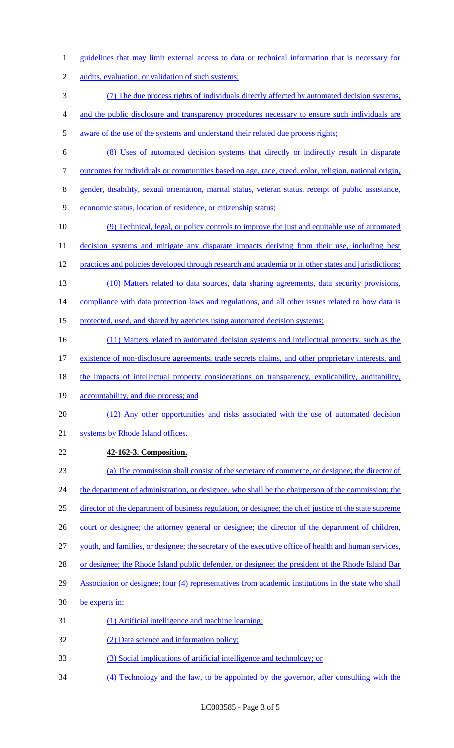- guidelines that may limit external access to data or technical information that is necessary for
- audits, evaluation, or validation of such systems;
- (7) The due process rights of individuals directly affected by automated decision systems,
- and the public disclosure and transparency procedures necessary to ensure such individuals are
- aware of the use of the systems and understand their related due process rights;
- (8) Uses of automated decision systems that directly or indirectly result in disparate
- outcomes for individuals or communities based on age, race, creed, color, religion, national origin,
- gender, disability, sexual orientation, marital status, veteran status, receipt of public assistance,
- economic status, location of residence, or citizenship status;
- (9) Technical, legal, or policy controls to improve the just and equitable use of automated 11 decision systems and mitigate any disparate impacts deriving from their use, including best 12 practices and policies developed through research and academia or in other states and jurisdictions; (10) Matters related to data sources, data sharing agreements, data security provisions,
- compliance with data protection laws and regulations, and all other issues related to how data is
- protected, used, and shared by agencies using automated decision systems;
- 16 (11) Matters related to automated decision systems and intellectual property, such as the existence of non-disclosure agreements, trade secrets claims, and other proprietary interests, and
- the impacts of intellectual property considerations on transparency, explicability, auditability,
- 19 accountability, and due process; and
- 20 (12) Any other opportunities and risks associated with the use of automated decision
- systems by Rhode Island offices.
- **42-162-3. Composition.**
- (a) The commission shall consist of the secretary of commerce, or designee; the director of 24 the department of administration, or designee, who shall be the chairperson of the commission; the director of the department of business regulation, or designee; the chief justice of the state supreme 26 court or designee; the attorney general or designee; the director of the department of children, youth, and families, or designee; the secretary of the executive office of health and human services,
- or designee; the Rhode Island public defender, or designee; the president of the Rhode Island Bar
- Association or designee; four (4) representatives from academic institutions in the state who shall
- be experts in:
- (1) Artificial intelligence and machine learning;
- (2) Data science and information policy;
- (3) Social implications of artificial intelligence and technology; or
- (4) Technology and the law, to be appointed by the governor, after consulting with the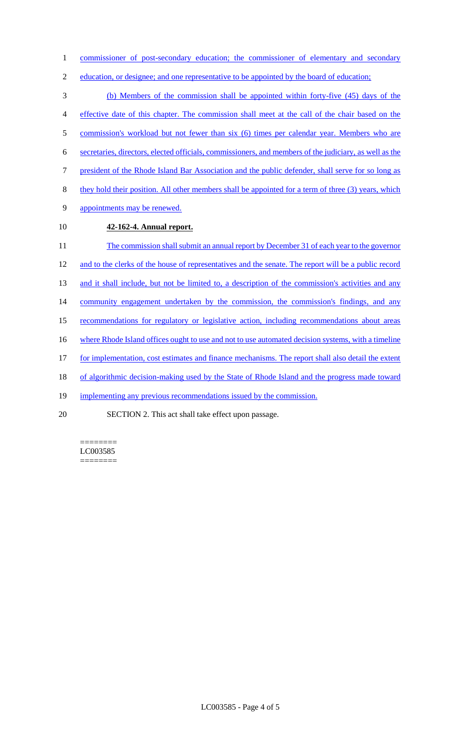1 commissioner of post-secondary education; the commissioner of elementary and secondary

2 education, or designee; and one representative to be appointed by the board of education;

3 (b) Members of the commission shall be appointed within forty-five (45) days of the 4 effective date of this chapter. The commission shall meet at the call of the chair based on the 5 commission's workload but not fewer than six (6) times per calendar year. Members who are 6 secretaries, directors, elected officials, commissioners, and members of the judiciary, as well as the 7 president of the Rhode Island Bar Association and the public defender, shall serve for so long as 8 they hold their position. All other members shall be appointed for a term of three (3) years, which 9 appointments may be renewed. 10 **42-162-4. Annual report.**  11 The commission shall submit an annual report by December 31 of each year to the governor 12 and to the clerks of the house of representatives and the senate. The report will be a public record 13 and it shall include, but not be limited to, a description of the commission's activities and any 14 community engagement undertaken by the commission, the commission's findings, and any 15 recommendations for regulatory or legislative action, including recommendations about areas 16 where Rhode Island offices ought to use and not to use automated decision systems, with a timeline 17 for implementation, cost estimates and finance mechanisms. The report shall also detail the extent 18 of algorithmic decision-making used by the State of Rhode Island and the progress made toward 19 implementing any previous recommendations issued by the commission. 20 SECTION 2. This act shall take effect upon passage.

======== LC003585 ========